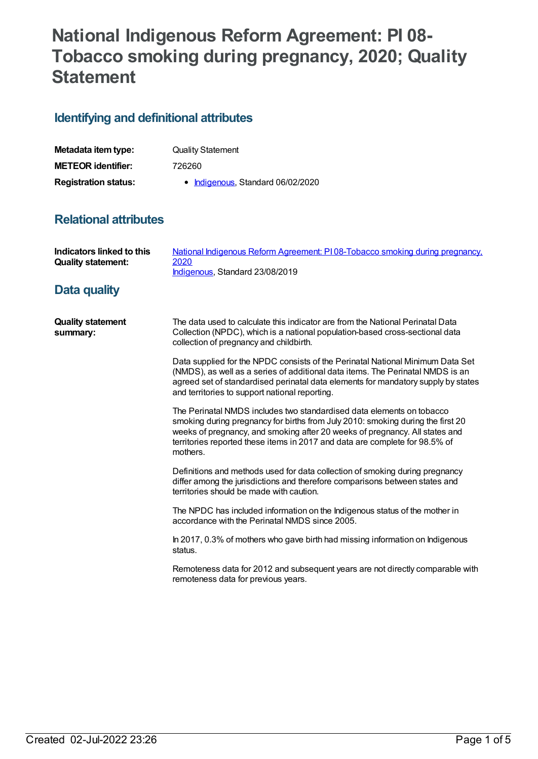# **National Indigenous Reform Agreement: PI 08- Tobacco smoking during pregnancy, 2020; Quality Statement**

## **Identifying and definitional attributes**

| Metadata item type:         | <b>Quality Statement</b>          |
|-----------------------------|-----------------------------------|
| <b>METEOR identifier:</b>   | 726260                            |
| <b>Registration status:</b> | • Indigenous, Standard 06/02/2020 |

## **Relational attributes**

| Indicators linked to this<br><b>Quality statement:</b> | National Indigenous Reform Agreement: PI08-Tobacco smoking during pregnancy,<br>2020<br>Indigenous, Standard 23/08/2019                                                                                                                                                                                                            |
|--------------------------------------------------------|------------------------------------------------------------------------------------------------------------------------------------------------------------------------------------------------------------------------------------------------------------------------------------------------------------------------------------|
| Data quality                                           |                                                                                                                                                                                                                                                                                                                                    |
| <b>Quality statement</b><br>summary:                   | The data used to calculate this indicator are from the National Perinatal Data<br>Collection (NPDC), which is a national population-based cross-sectional data<br>collection of pregnancy and childbirth.                                                                                                                          |
|                                                        | Data supplied for the NPDC consists of the Perinatal National Minimum Data Set<br>(NMDS), as well as a series of additional data items. The Perinatal NMDS is an<br>agreed set of standardised perinatal data elements for mandatory supply by states<br>and territories to support national reporting.                            |
|                                                        | The Perinatal NMDS includes two standardised data elements on tobacco<br>smoking during pregnancy for births from July 2010: smoking during the first 20<br>weeks of pregnancy, and smoking after 20 weeks of pregnancy. All states and<br>territories reported these items in 2017 and data are complete for 98.5% of<br>mothers. |
|                                                        | Definitions and methods used for data collection of smoking during pregnancy<br>differ among the jurisdictions and therefore comparisons between states and<br>territories should be made with caution.                                                                                                                            |
|                                                        | The NPDC has included information on the Indigenous status of the mother in<br>accordance with the Perinatal NMDS since 2005.                                                                                                                                                                                                      |
|                                                        | In 2017, 0.3% of mothers who gave birth had missing information on Indigenous<br>status.                                                                                                                                                                                                                                           |
|                                                        | Remoteness data for 2012 and subsequent years are not directly comparable with<br>remoteness data for previous years.                                                                                                                                                                                                              |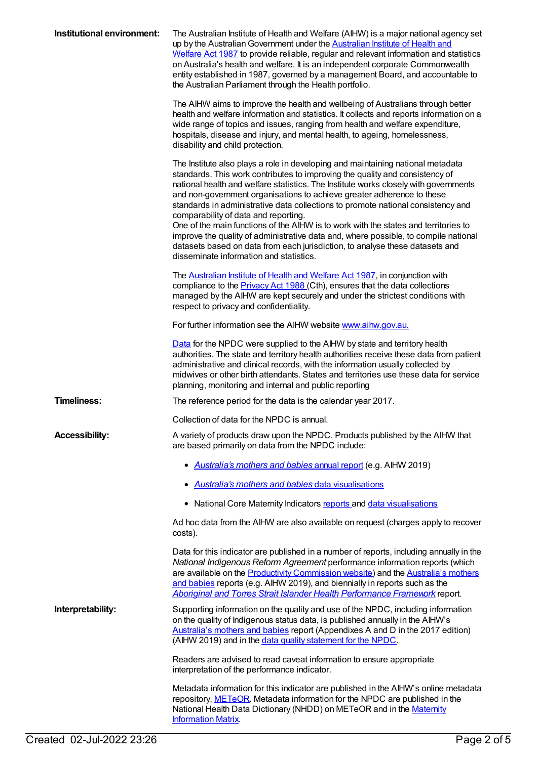| Institutional environment: | The Australian Institute of Health and Welfare (AIHW) is a major national agency set<br>up by the Australian Government under the Australian Institute of Health and<br>Welfare Act 1987 to provide reliable, regular and relevant information and statistics<br>on Australia's health and welfare. It is an independent corporate Commonwealth<br>entity established in 1987, governed by a management Board, and accountable to<br>the Australian Parliament through the Health portfolio.                                                                                                                                                                                                                                                                           |
|----------------------------|------------------------------------------------------------------------------------------------------------------------------------------------------------------------------------------------------------------------------------------------------------------------------------------------------------------------------------------------------------------------------------------------------------------------------------------------------------------------------------------------------------------------------------------------------------------------------------------------------------------------------------------------------------------------------------------------------------------------------------------------------------------------|
|                            | The AIHW aims to improve the health and wellbeing of Australians through better<br>health and welfare information and statistics. It collects and reports information on a<br>wide range of topics and issues, ranging from health and welfare expenditure,<br>hospitals, disease and injury, and mental health, to ageing, homelessness,<br>disability and child protection.                                                                                                                                                                                                                                                                                                                                                                                          |
|                            | The Institute also plays a role in developing and maintaining national metadata<br>standards. This work contributes to improving the quality and consistency of<br>national health and welfare statistics. The Institute works closely with governments<br>and non-government organisations to achieve greater adherence to these<br>standards in administrative data collections to promote national consistency and<br>comparability of data and reporting.<br>One of the main functions of the AIHW is to work with the states and territories to<br>improve the quality of administrative data and, where possible, to compile national<br>datasets based on data from each jurisdiction, to analyse these datasets and<br>disseminate information and statistics. |
|                            | The <b>Australian Institute of Health and Welfare Act 1987</b> , in conjunction with<br>compliance to the <b>Privacy Act 1988</b> (Cth), ensures that the data collections<br>managed by the AIHW are kept securely and under the strictest conditions with<br>respect to privacy and confidentiality.                                                                                                                                                                                                                                                                                                                                                                                                                                                                 |
|                            | For further information see the AIHW website www.aihw.gov.au.                                                                                                                                                                                                                                                                                                                                                                                                                                                                                                                                                                                                                                                                                                          |
|                            | Data for the NPDC were supplied to the AIHW by state and territory health<br>authorities. The state and territory health authorities receive these data from patient<br>administrative and clinical records, with the information usually collected by<br>midwives or other birth attendants. States and territories use these data for service<br>planning, monitoring and internal and public reporting                                                                                                                                                                                                                                                                                                                                                              |
| <b>Timeliness:</b>         | The reference period for the data is the calendar year 2017.                                                                                                                                                                                                                                                                                                                                                                                                                                                                                                                                                                                                                                                                                                           |
|                            | Collection of data for the NPDC is annual.                                                                                                                                                                                                                                                                                                                                                                                                                                                                                                                                                                                                                                                                                                                             |
| <b>Accessibility:</b>      | A variety of products draw upon the NPDC. Products published by the AIHW that<br>are based primarily on data from the NPDC include:                                                                                                                                                                                                                                                                                                                                                                                                                                                                                                                                                                                                                                    |
|                            | • Australia's mothers and babies annual report (e.g. AIHW 2019)                                                                                                                                                                                                                                                                                                                                                                                                                                                                                                                                                                                                                                                                                                        |
|                            | Australia's mothers and babies data visualisations                                                                                                                                                                                                                                                                                                                                                                                                                                                                                                                                                                                                                                                                                                                     |
|                            | • National Core Maternity Indicators reports and data visualisations                                                                                                                                                                                                                                                                                                                                                                                                                                                                                                                                                                                                                                                                                                   |
|                            | Ad hoc data from the AIHW are also available on request (charges apply to recover<br>costs).                                                                                                                                                                                                                                                                                                                                                                                                                                                                                                                                                                                                                                                                           |
|                            | Data for this indicator are published in a number of reports, including annually in the<br>National Indigenous Reform Agreement performance information reports (which<br>are available on the <b>Productivity Commission website</b> ) and the <b>Australia's mothers</b><br>and babies reports (e.g. AIHW 2019), and biennially in reports such as the<br>Aboriginal and Torres Strait Islander Health Performance Framework report.                                                                                                                                                                                                                                                                                                                                 |
| Interpretability:          | Supporting information on the quality and use of the NPDC, including information<br>on the quality of Indigenous status data, is published annually in the AIHW's<br>Australia's mothers and babies report (Appendixes A and D in the 2017 edition)<br>(AIHW 2019) and in the data quality statement for the NPDC.                                                                                                                                                                                                                                                                                                                                                                                                                                                     |
|                            | Readers are advised to read caveat information to ensure appropriate<br>interpretation of the performance indicator.                                                                                                                                                                                                                                                                                                                                                                                                                                                                                                                                                                                                                                                   |
|                            | Metadata information for this indicator are published in the AIHW's online metadata<br>repository, METeOR. Metadata information for the NPDC are published in the<br>National Health Data Dictionary (NHDD) on METeOR and in the Maternity<br><b>Information Matrix</b> .                                                                                                                                                                                                                                                                                                                                                                                                                                                                                              |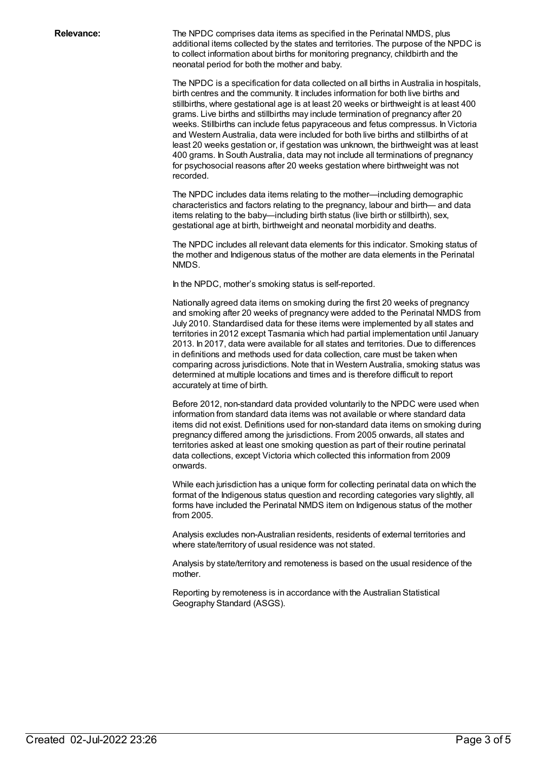**Relevance:** The NPDC comprises data items as specified in the Perinatal NMDS, plus additional items collected by the states and territories. The purpose of the NPDC is to collect information about births for monitoring pregnancy, childbirth and the neonatal period for both the mother and baby.

> The NPDC is a specification for data collected on all births in Australia in hospitals, birth centres and the community. It includes information for both live births and stillbirths, where gestational age is at least 20 weeks or birthweight is at least 400 grams. Live births and stillbirths may include termination of pregnancy after 20 weeks. Stillbirths can include fetus papyraceous and fetus compressus. In Victoria and Western Australia, data were included for both live births and stillbirths of at least 20 weeks gestation or, if gestation was unknown, the birthweight was at least 400 grams. In South Australia, data may not include all terminations of pregnancy for psychosocial reasons after 20 weeks gestation where birthweight was not recorded.

The NPDC includes data items relating to the mother—including demographic characteristics and factors relating to the pregnancy, labour and birth— and data items relating to the baby—including birth status (live birth or stillbirth), sex, gestational age at birth, birthweight and neonatal morbidity and deaths.

The NPDC includes all relevant data elements for this indicator. Smoking status of the mother and Indigenous status of the mother are data elements in the Perinatal NMDS.

In the NPDC, mother's smoking status is self-reported.

Nationally agreed data items on smoking during the first 20 weeks of pregnancy and smoking after 20 weeks of pregnancy were added to the Perinatal NMDS from July 2010. Standardised data for these items were implemented by all states and territories in 2012 except Tasmania which had partial implementation until January 2013. In 2017, data were available for all states and territories. Due to differences in definitions and methods used for data collection, care must be taken when comparing across jurisdictions. Note that in Western Australia, smoking status was determined at multiple locations and times and is therefore difficult to report accurately at time of birth.

Before 2012, non-standard data provided voluntarily to the NPDC were used when information from standard data items was not available or where standard data items did not exist. Definitions used for non-standard data items on smoking during pregnancy differed among the jurisdictions. From 2005 onwards, all states and territories asked at least one smoking question as part of their routine perinatal data collections, except Victoria which collected this information from 2009 onwards.

While each jurisdiction has a unique form for collecting perinatal data on which the format of the Indigenous status question and recording categories vary slightly, all forms have included the Perinatal NMDS item on Indigenous status of the mother from 2005.

Analysis excludes non-Australian residents, residents of external territories and where state/territory of usual residence was not stated.

Analysis by state/territory and remoteness is based on the usual residence of the mother.

Reporting by remoteness is in accordance with the Australian Statistical Geography Standard (ASGS).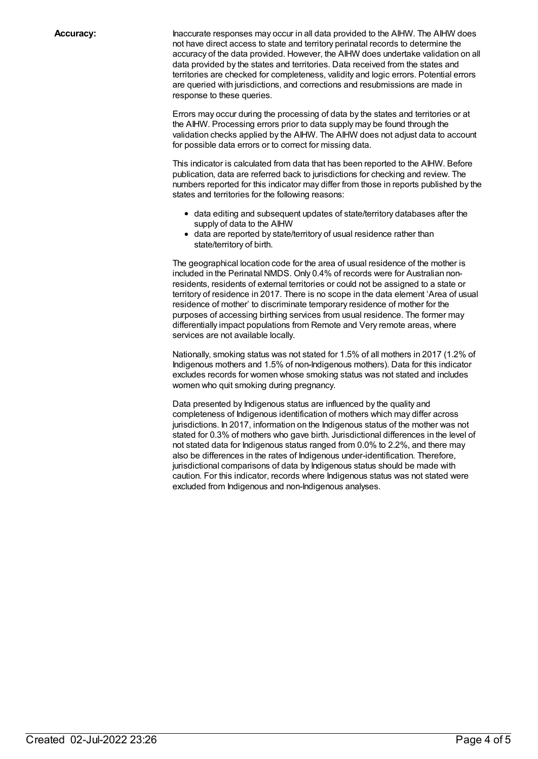**Accuracy:** Inaccurate responses may occur in all data provided to the AIHW. The AIHW does not have direct access to state and territory perinatal records to determine the accuracy of the data provided. However, the AIHW does undertake validation on all data provided by the states and territories. Data received from the states and territories are checked for completeness, validity and logic errors. Potential errors are queried with jurisdictions, and corrections and resubmissions are made in response to these queries.

> Errors may occur during the processing of data by the states and territories or at the AIHW. Processing errors prior to data supply may be found through the validation checks applied by the AIHW. The AIHW does not adjust data to account for possible data errors or to correct for missing data.

This indicator is calculated from data that has been reported to the AIHW. Before publication, data are referred back to jurisdictions for checking and review. The numbers reported for this indicator may differ from those in reports published by the states and territories for the following reasons:

- data editing and subsequent updates of state/territory databases after the supply of data to the AIHW
- data are reported by state/territory of usual residence rather than state/territory of birth.

The geographical location code for the area of usual residence of the mother is included in the Perinatal NMDS. Only 0.4% of records were for Australian nonresidents, residents of external territories or could not be assigned to a state or territory of residence in 2017. There is no scope in the data element 'Area of usual residence of mother' to discriminate temporary residence of mother for the purposes of accessing birthing services from usual residence. The former may differentially impact populations from Remote and Very remote areas, where services are not available locally.

Nationally, smoking status was not stated for 1.5% of all mothers in 2017 (1.2% of Indigenous mothers and 1.5% of non-Indigenous mothers). Data for this indicator excludes records for women whose smoking status was not stated and includes women who quit smoking during pregnancy.

Data presented by Indigenous status are influenced by the quality and completeness of Indigenous identification of mothers which may differ across jurisdictions. In 2017, information on the Indigenous status of the mother was not stated for 0.3% of mothers who gave birth. Jurisdictional differences in the level of not stated data for Indigenous status ranged from 0.0% to 2.2%, and there may also be differences in the rates of Indigenous under-identification. Therefore, jurisdictional comparisons of data by Indigenous status should be made with caution. For this indicator, records where Indigenous status was not stated were excluded from Indigenous and non-Indigenous analyses.